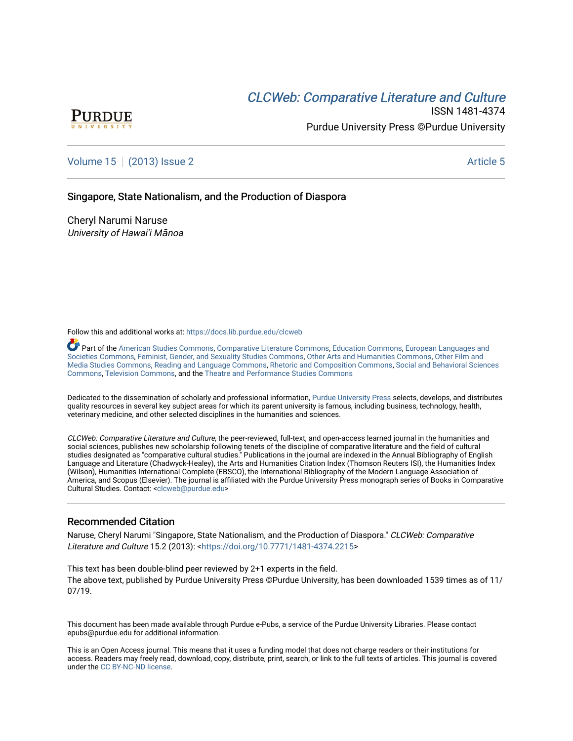# **CLCW[eb: Comparative Liter](https://docs.lib.purdue.edu/clcweb)ature and Culture**



ISSN 1481-4374 Purdue University Press ©Purdue University

## [Volume 15](https://docs.lib.purdue.edu/clcweb/vol15) | [\(2013\) Issue 2](https://docs.lib.purdue.edu/clcweb/vol15/iss2) Article 5

## Singapore, State Nationalism, and the Production of Diaspora

Cheryl Narumi Naruse University of Hawai'i Mānoa

Follow this and additional works at: [https://docs.lib.purdue.edu/clcweb](https://docs.lib.purdue.edu/clcweb?utm_source=docs.lib.purdue.edu%2Fclcweb%2Fvol15%2Fiss2%2F5&utm_medium=PDF&utm_campaign=PDFCoverPages)

Part of the [American Studies Commons](http://network.bepress.com/hgg/discipline/439?utm_source=docs.lib.purdue.edu%2Fclcweb%2Fvol15%2Fiss2%2F5&utm_medium=PDF&utm_campaign=PDFCoverPages), [Comparative Literature Commons,](http://network.bepress.com/hgg/discipline/454?utm_source=docs.lib.purdue.edu%2Fclcweb%2Fvol15%2Fiss2%2F5&utm_medium=PDF&utm_campaign=PDFCoverPages) [Education Commons,](http://network.bepress.com/hgg/discipline/784?utm_source=docs.lib.purdue.edu%2Fclcweb%2Fvol15%2Fiss2%2F5&utm_medium=PDF&utm_campaign=PDFCoverPages) [European Languages and](http://network.bepress.com/hgg/discipline/482?utm_source=docs.lib.purdue.edu%2Fclcweb%2Fvol15%2Fiss2%2F5&utm_medium=PDF&utm_campaign=PDFCoverPages) [Societies Commons](http://network.bepress.com/hgg/discipline/482?utm_source=docs.lib.purdue.edu%2Fclcweb%2Fvol15%2Fiss2%2F5&utm_medium=PDF&utm_campaign=PDFCoverPages), [Feminist, Gender, and Sexuality Studies Commons,](http://network.bepress.com/hgg/discipline/559?utm_source=docs.lib.purdue.edu%2Fclcweb%2Fvol15%2Fiss2%2F5&utm_medium=PDF&utm_campaign=PDFCoverPages) [Other Arts and Humanities Commons](http://network.bepress.com/hgg/discipline/577?utm_source=docs.lib.purdue.edu%2Fclcweb%2Fvol15%2Fiss2%2F5&utm_medium=PDF&utm_campaign=PDFCoverPages), [Other Film and](http://network.bepress.com/hgg/discipline/565?utm_source=docs.lib.purdue.edu%2Fclcweb%2Fvol15%2Fiss2%2F5&utm_medium=PDF&utm_campaign=PDFCoverPages)  [Media Studies Commons](http://network.bepress.com/hgg/discipline/565?utm_source=docs.lib.purdue.edu%2Fclcweb%2Fvol15%2Fiss2%2F5&utm_medium=PDF&utm_campaign=PDFCoverPages), [Reading and Language Commons](http://network.bepress.com/hgg/discipline/1037?utm_source=docs.lib.purdue.edu%2Fclcweb%2Fvol15%2Fiss2%2F5&utm_medium=PDF&utm_campaign=PDFCoverPages), [Rhetoric and Composition Commons,](http://network.bepress.com/hgg/discipline/573?utm_source=docs.lib.purdue.edu%2Fclcweb%2Fvol15%2Fiss2%2F5&utm_medium=PDF&utm_campaign=PDFCoverPages) [Social and Behavioral Sciences](http://network.bepress.com/hgg/discipline/316?utm_source=docs.lib.purdue.edu%2Fclcweb%2Fvol15%2Fiss2%2F5&utm_medium=PDF&utm_campaign=PDFCoverPages) [Commons,](http://network.bepress.com/hgg/discipline/316?utm_source=docs.lib.purdue.edu%2Fclcweb%2Fvol15%2Fiss2%2F5&utm_medium=PDF&utm_campaign=PDFCoverPages) [Television Commons,](http://network.bepress.com/hgg/discipline/1143?utm_source=docs.lib.purdue.edu%2Fclcweb%2Fvol15%2Fiss2%2F5&utm_medium=PDF&utm_campaign=PDFCoverPages) and the [Theatre and Performance Studies Commons](http://network.bepress.com/hgg/discipline/552?utm_source=docs.lib.purdue.edu%2Fclcweb%2Fvol15%2Fiss2%2F5&utm_medium=PDF&utm_campaign=PDFCoverPages)

Dedicated to the dissemination of scholarly and professional information, [Purdue University Press](http://www.thepress.purdue.edu/) selects, develops, and distributes quality resources in several key subject areas for which its parent university is famous, including business, technology, health, veterinary medicine, and other selected disciplines in the humanities and sciences.

CLCWeb: Comparative Literature and Culture, the peer-reviewed, full-text, and open-access learned journal in the humanities and social sciences, publishes new scholarship following tenets of the discipline of comparative literature and the field of cultural studies designated as "comparative cultural studies." Publications in the journal are indexed in the Annual Bibliography of English Language and Literature (Chadwyck-Healey), the Arts and Humanities Citation Index (Thomson Reuters ISI), the Humanities Index (Wilson), Humanities International Complete (EBSCO), the International Bibliography of the Modern Language Association of America, and Scopus (Elsevier). The journal is affiliated with the Purdue University Press monograph series of Books in Comparative Cultural Studies. Contact: [<clcweb@purdue.edu](mailto:clcweb@purdue.edu)>

### Recommended Citation

Naruse, Cheryl Narumi "Singapore, State Nationalism, and the Production of Diaspora." CLCWeb: Comparative Literature and Culture 15.2 (2013): <<https://doi.org/10.7771/1481-4374.2215>>

This text has been double-blind peer reviewed by 2+1 experts in the field. The above text, published by Purdue University Press ©Purdue University, has been downloaded 1539 times as of 11/ 07/19.

This document has been made available through Purdue e-Pubs, a service of the Purdue University Libraries. Please contact epubs@purdue.edu for additional information.

This is an Open Access journal. This means that it uses a funding model that does not charge readers or their institutions for access. Readers may freely read, download, copy, distribute, print, search, or link to the full texts of articles. This journal is covered under the [CC BY-NC-ND license.](https://creativecommons.org/licenses/by-nc-nd/4.0/)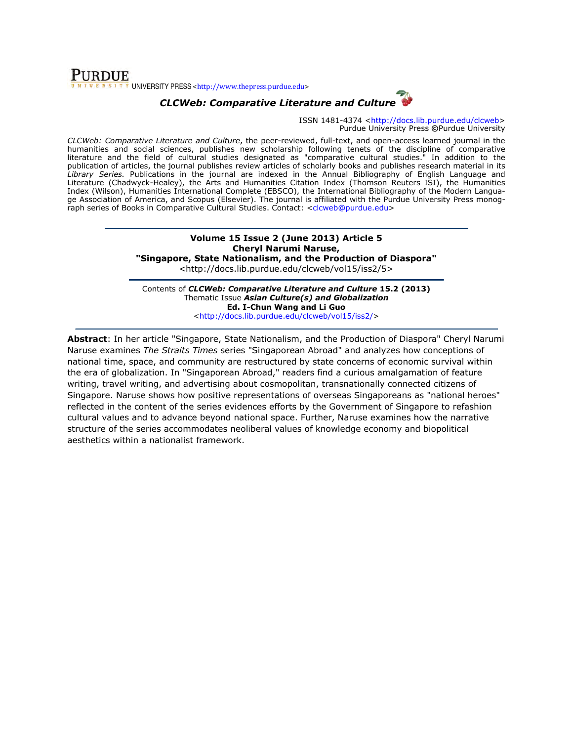## **PURDUE** UNIVERSITY PRESS <http://www.thepress.purdue.edu>



ISSN 1481-4374 <http://docs.lib.purdue.edu/clcweb> Purdue University Press ©Purdue University

CLCWeb: Comparative Literature and Culture, the peer-reviewed, full-text, and open-access learned journal in the humanities and social sciences, publishes new scholarship following tenets of the discipline of comparative literature and the field of cultural studies designated as "comparative cultural studies." In addition to the publication of articles, the journal publishes review articles of scholarly books and publishes research material in its Library Series. Publications in the journal are indexed in the Annual Bibliography of English Language and Literature (Chadwyck-Healey), the Arts and Humanities Citation Index (Thomson Reuters ISI), the Humanities Index (Wilson), Humanities International Complete (EBSCO), the International Bibliography of the Modern Language Association of America, and Scopus (Elsevier). The journal is affiliated with the Purdue University Press monograph series of Books in Comparative Cultural Studies. Contact: <clcweb@purdue.edu>

## Volume 15 Issue 2 (June 2013) Article 5 Cheryl Narumi Naruse,

"Singapore, State Nationalism, and the Production of Diaspora"

<http://docs.lib.purdue.edu/clcweb/vol15/iss2/5>

Contents of CLCWeb: Comparative Literature and Culture 15.2 (2013) Thematic Issue Asian Culture(s) and Globalization Ed. I-Chun Wang and Li Guo <http://docs.lib.purdue.edu/clcweb/vol15/iss2/>

Abstract: In her article "Singapore, State Nationalism, and the Production of Diaspora" Cheryl Narumi Naruse examines The Straits Times series "Singaporean Abroad" and analyzes how conceptions of national time, space, and community are restructured by state concerns of economic survival within the era of globalization. In "Singaporean Abroad," readers find a curious amalgamation of feature writing, travel writing, and advertising about cosmopolitan, transnationally connected citizens of Singapore. Naruse shows how positive representations of overseas Singaporeans as "national heroes" reflected in the content of the series evidences efforts by the Government of Singapore to refashion cultural values and to advance beyond national space. Further, Naruse examines how the narrative structure of the series accommodates neoliberal values of knowledge economy and biopolitical aesthetics within a nationalist framework.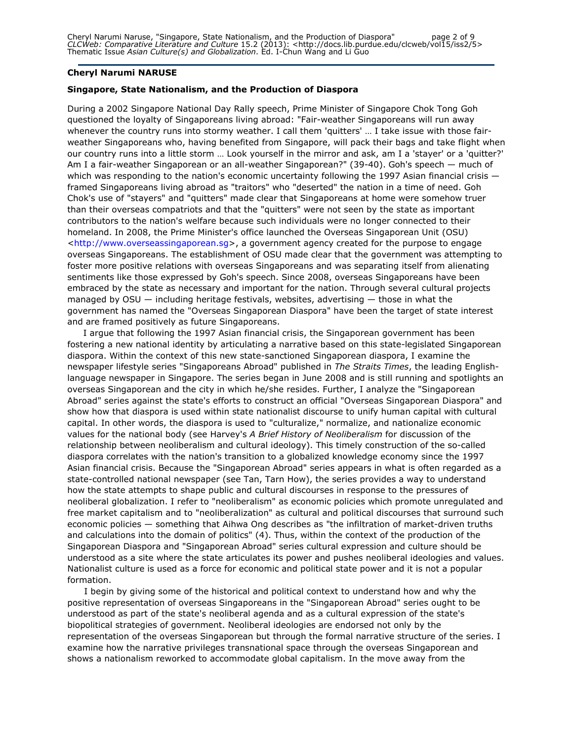#### Cheryl Narumi NARUSE

#### Singapore, State Nationalism, and the Production of Diaspora

During a 2002 Singapore National Day Rally speech, Prime Minister of Singapore Chok Tong Goh questioned the loyalty of Singaporeans living abroad: "Fair-weather Singaporeans will run away whenever the country runs into stormy weather. I call them 'quitters' ... I take issue with those fairweather Singaporeans who, having benefited from Singapore, will pack their bags and take flight when our country runs into a little storm … Look yourself in the mirror and ask, am I a 'stayer' or a 'quitter?' Am I a fair-weather Singaporean or an all-weather Singaporean?" (39-40). Goh's speech — much of which was responding to the nation's economic uncertainty following the 1997 Asian financial crisis  $$ framed Singaporeans living abroad as "traitors" who "deserted" the nation in a time of need. Goh Chok's use of "stayers" and "quitters" made clear that Singaporeans at home were somehow truer than their overseas compatriots and that the "quitters" were not seen by the state as important contributors to the nation's welfare because such individuals were no longer connected to their homeland. In 2008, the Prime Minister's office launched the Overseas Singaporean Unit (OSU) <http://www.overseassingaporean.sg>, a government agency created for the purpose to engage overseas Singaporeans. The establishment of OSU made clear that the government was attempting to foster more positive relations with overseas Singaporeans and was separating itself from alienating sentiments like those expressed by Goh's speech. Since 2008, overseas Singaporeans have been embraced by the state as necessary and important for the nation. Through several cultural projects managed by  $OSU -$  including heritage festivals, websites, advertising  $-$  those in what the government has named the "Overseas Singaporean Diaspora" have been the target of state interest and are framed positively as future Singaporeans.

I argue that following the 1997 Asian financial crisis, the Singaporean government has been fostering a new national identity by articulating a narrative based on this state-legislated Singaporean diaspora. Within the context of this new state-sanctioned Singaporean diaspora, I examine the newspaper lifestyle series "Singaporeans Abroad" published in The Straits Times, the leading Englishlanguage newspaper in Singapore. The series began in June 2008 and is still running and spotlights an overseas Singaporean and the city in which he/she resides. Further, I analyze the "Singaporean Abroad" series against the state's efforts to construct an official "Overseas Singaporean Diaspora" and show how that diaspora is used within state nationalist discourse to unify human capital with cultural capital. In other words, the diaspora is used to "culturalize," normalize, and nationalize economic values for the national body (see Harvey's A Brief History of Neoliberalism for discussion of the relationship between neoliberalism and cultural ideology). This timely construction of the so-called diaspora correlates with the nation's transition to a globalized knowledge economy since the 1997 Asian financial crisis. Because the "Singaporean Abroad" series appears in what is often regarded as a state-controlled national newspaper (see Tan, Tarn How), the series provides a way to understand how the state attempts to shape public and cultural discourses in response to the pressures of neoliberal globalization. I refer to "neoliberalism" as economic policies which promote unregulated and free market capitalism and to "neoliberalization" as cultural and political discourses that surround such economic policies — something that Aihwa Ong describes as "the infiltration of market-driven truths and calculations into the domain of politics" (4). Thus, within the context of the production of the Singaporean Diaspora and "Singaporean Abroad" series cultural expression and culture should be understood as a site where the state articulates its power and pushes neoliberal ideologies and values. Nationalist culture is used as a force for economic and political state power and it is not a popular formation.

I begin by giving some of the historical and political context to understand how and why the positive representation of overseas Singaporeans in the "Singaporean Abroad" series ought to be understood as part of the state's neoliberal agenda and as a cultural expression of the state's biopolitical strategies of government. Neoliberal ideologies are endorsed not only by the representation of the overseas Singaporean but through the formal narrative structure of the series. I examine how the narrative privileges transnational space through the overseas Singaporean and shows a nationalism reworked to accommodate global capitalism. In the move away from the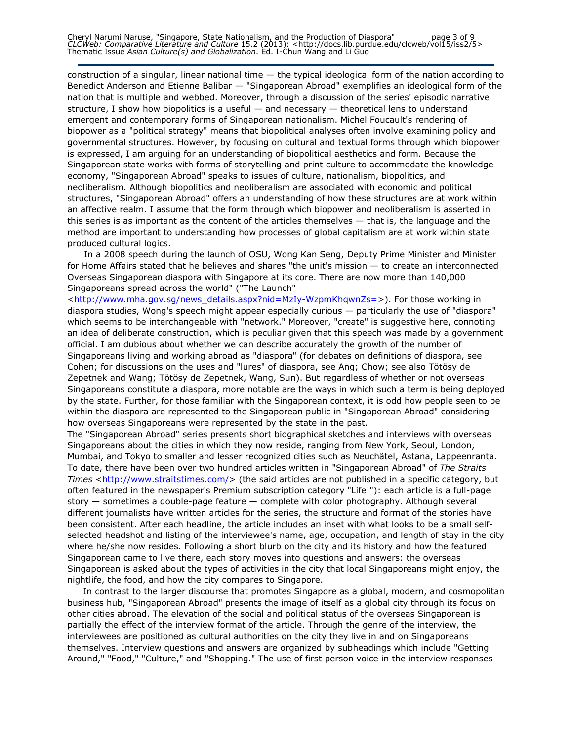Cheryl Narumi Naruse, "Singapore, State Nationalism, and the Production of Diaspora" page 3 of 9 CLCWeb: Comparative Literature and Culture 15.2 (2013): <http://docs.lib.purdue.edu/clcweb/vol15/iss2/5> Thematic Issue Asian Culture(s) and Globalization. Ed. I-Chun Wang and Li Guo

construction of a singular, linear national time — the typical ideological form of the nation according to Benedict Anderson and Etienne Balibar — "Singaporean Abroad" exemplifies an ideological form of the nation that is multiple and webbed. Moreover, through a discussion of the series' episodic narrative structure, I show how biopolitics is a useful — and necessary — theoretical lens to understand emergent and contemporary forms of Singaporean nationalism. Michel Foucault's rendering of biopower as a "political strategy" means that biopolitical analyses often involve examining policy and governmental structures. However, by focusing on cultural and textual forms through which biopower is expressed, I am arguing for an understanding of biopolitical aesthetics and form. Because the Singaporean state works with forms of storytelling and print culture to accommodate the knowledge economy, "Singaporean Abroad" speaks to issues of culture, nationalism, biopolitics, and neoliberalism. Although biopolitics and neoliberalism are associated with economic and political structures, "Singaporean Abroad" offers an understanding of how these structures are at work within an affective realm. I assume that the form through which biopower and neoliberalism is asserted in this series is as important as the content of the articles themselves — that is, the language and the method are important to understanding how processes of global capitalism are at work within state produced cultural logics.

In a 2008 speech during the launch of OSU, Wong Kan Seng, Deputy Prime Minister and Minister for Home Affairs stated that he believes and shares "the unit's mission — to create an interconnected Overseas Singaporean diaspora with Singapore at its core. There are now more than 140,000 Singaporeans spread across the world" ("The Launch"

<http://www.mha.gov.sg/news\_details.aspx?nid=MzIy-WzpmKhqwnZs=>). For those working in diaspora studies, Wong's speech might appear especially curious — particularly the use of "diaspora" which seems to be interchangeable with "network." Moreover, "create" is suggestive here, connoting an idea of deliberate construction, which is peculiar given that this speech was made by a government official. I am dubious about whether we can describe accurately the growth of the number of Singaporeans living and working abroad as "diaspora" (for debates on definitions of diaspora, see Cohen; for discussions on the uses and "lures" of diaspora, see Ang; Chow; see also Tötösy de Zepetnek and Wang; Tötösy de Zepetnek, Wang, Sun). But regardless of whether or not overseas Singaporeans constitute a diaspora, more notable are the ways in which such a term is being deployed by the state. Further, for those familiar with the Singaporean context, it is odd how people seen to be within the diaspora are represented to the Singaporean public in "Singaporean Abroad" considering how overseas Singaporeans were represented by the state in the past.

The "Singaporean Abroad" series presents short biographical sketches and interviews with overseas Singaporeans about the cities in which they now reside, ranging from New York, Seoul, London, Mumbai, and Tokyo to smaller and lesser recognized cities such as Neuchâtel, Astana, Lappeenranta. To date, there have been over two hundred articles written in "Singaporean Abroad" of The Straits Times <http://www.straitstimes.com/> (the said articles are not published in a specific category, but often featured in the newspaper's Premium subscription category "Life!"): each article is a full-page story — sometimes a double-page feature — complete with color photography. Although several different journalists have written articles for the series, the structure and format of the stories have been consistent. After each headline, the article includes an inset with what looks to be a small selfselected headshot and listing of the interviewee's name, age, occupation, and length of stay in the city where he/she now resides. Following a short blurb on the city and its history and how the featured Singaporean came to live there, each story moves into questions and answers: the overseas Singaporean is asked about the types of activities in the city that local Singaporeans might enjoy, the nightlife, the food, and how the city compares to Singapore.

In contrast to the larger discourse that promotes Singapore as a global, modern, and cosmopolitan business hub, "Singaporean Abroad" presents the image of itself as a global city through its focus on other cities abroad. The elevation of the social and political status of the overseas Singaporean is partially the effect of the interview format of the article. Through the genre of the interview, the interviewees are positioned as cultural authorities on the city they live in and on Singaporeans themselves. Interview questions and answers are organized by subheadings which include "Getting Around," "Food," "Culture," and "Shopping." The use of first person voice in the interview responses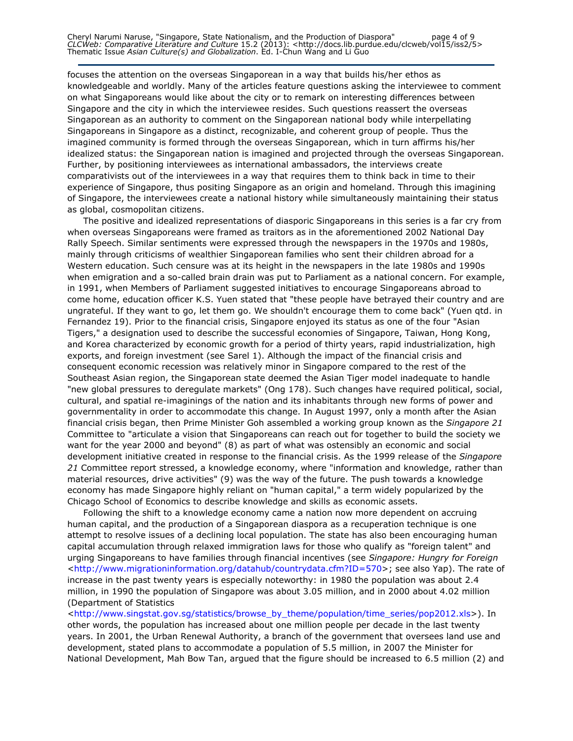focuses the attention on the overseas Singaporean in a way that builds his/her ethos as knowledgeable and worldly. Many of the articles feature questions asking the interviewee to comment on what Singaporeans would like about the city or to remark on interesting differences between Singapore and the city in which the interviewee resides. Such questions reassert the overseas Singaporean as an authority to comment on the Singaporean national body while interpellating Singaporeans in Singapore as a distinct, recognizable, and coherent group of people. Thus the imagined community is formed through the overseas Singaporean, which in turn affirms his/her idealized status: the Singaporean nation is imagined and projected through the overseas Singaporean. Further, by positioning interviewees as international ambassadors, the interviews create comparativists out of the interviewees in a way that requires them to think back in time to their experience of Singapore, thus positing Singapore as an origin and homeland. Through this imagining of Singapore, the interviewees create a national history while simultaneously maintaining their status as global, cosmopolitan citizens.

The positive and idealized representations of diasporic Singaporeans in this series is a far cry from when overseas Singaporeans were framed as traitors as in the aforementioned 2002 National Day Rally Speech. Similar sentiments were expressed through the newspapers in the 1970s and 1980s, mainly through criticisms of wealthier Singaporean families who sent their children abroad for a Western education. Such censure was at its height in the newspapers in the late 1980s and 1990s when emigration and a so-called brain drain was put to Parliament as a national concern. For example, in 1991, when Members of Parliament suggested initiatives to encourage Singaporeans abroad to come home, education officer K.S. Yuen stated that "these people have betrayed their country and are ungrateful. If they want to go, let them go. We shouldn't encourage them to come back" (Yuen qtd. in Fernandez 19). Prior to the financial crisis, Singapore enjoyed its status as one of the four "Asian Tigers," a designation used to describe the successful economies of Singapore, Taiwan, Hong Kong, and Korea characterized by economic growth for a period of thirty years, rapid industrialization, high exports, and foreign investment (see Sarel 1). Although the impact of the financial crisis and consequent economic recession was relatively minor in Singapore compared to the rest of the Southeast Asian region, the Singaporean state deemed the Asian Tiger model inadequate to handle "new global pressures to deregulate markets" (Ong 178). Such changes have required political, social, cultural, and spatial re-imaginings of the nation and its inhabitants through new forms of power and governmentality in order to accommodate this change. In August 1997, only a month after the Asian financial crisis began, then Prime Minister Goh assembled a working group known as the Singapore 21 Committee to "articulate a vision that Singaporeans can reach out for together to build the society we want for the year 2000 and beyond" (8) as part of what was ostensibly an economic and social development initiative created in response to the financial crisis. As the 1999 release of the Singapore 21 Committee report stressed, a knowledge economy, where "information and knowledge, rather than material resources, drive activities" (9) was the way of the future. The push towards a knowledge economy has made Singapore highly reliant on "human capital," a term widely popularized by the Chicago School of Economics to describe knowledge and skills as economic assets.

Following the shift to a knowledge economy came a nation now more dependent on accruing human capital, and the production of a Singaporean diaspora as a recuperation technique is one attempt to resolve issues of a declining local population. The state has also been encouraging human capital accumulation through relaxed immigration laws for those who qualify as "foreign talent" and urging Singaporeans to have families through financial incentives (see Singapore: Hungry for Foreign <http://www.migrationinformation.org/datahub/countrydata.cfm?ID=570>; see also Yap). The rate of increase in the past twenty years is especially noteworthy: in 1980 the population was about 2.4 million, in 1990 the population of Singapore was about 3.05 million, and in 2000 about 4.02 million (Department of Statistics

<http://www.singstat.gov.sg/statistics/browse\_by\_theme/population/time\_series/pop2012.xls>). In other words, the population has increased about one million people per decade in the last twenty years. In 2001, the Urban Renewal Authority, a branch of the government that oversees land use and development, stated plans to accommodate a population of 5.5 million, in 2007 the Minister for National Development, Mah Bow Tan, argued that the figure should be increased to 6.5 million (2) and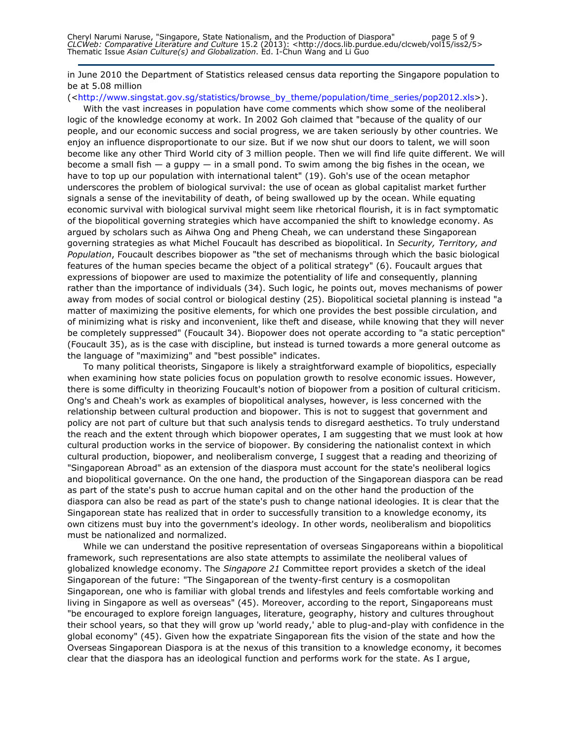in June 2010 the Department of Statistics released census data reporting the Singapore population to be at 5.08 million

#### (<http://www.singstat.gov.sg/statistics/browse\_by\_theme/population/time\_series/pop2012.xls>).

With the vast increases in population have come comments which show some of the neoliberal logic of the knowledge economy at work. In 2002 Goh claimed that "because of the quality of our people, and our economic success and social progress, we are taken seriously by other countries. We enjoy an influence disproportionate to our size. But if we now shut our doors to talent, we will soon become like any other Third World city of 3 million people. Then we will find life quite different. We will become a small fish  $-$  a guppy  $-$  in a small pond. To swim among the big fishes in the ocean, we have to top up our population with international talent" (19). Goh's use of the ocean metaphor underscores the problem of biological survival: the use of ocean as global capitalist market further signals a sense of the inevitability of death, of being swallowed up by the ocean. While equating economic survival with biological survival might seem like rhetorical flourish, it is in fact symptomatic of the biopolitical governing strategies which have accompanied the shift to knowledge economy. As argued by scholars such as Aihwa Ong and Pheng Cheah, we can understand these Singaporean governing strategies as what Michel Foucault has described as biopolitical. In Security, Territory, and Population, Foucault describes biopower as "the set of mechanisms through which the basic biological features of the human species became the object of a political strategy" (6). Foucault argues that expressions of biopower are used to maximize the potentiality of life and consequently, planning rather than the importance of individuals (34). Such logic, he points out, moves mechanisms of power away from modes of social control or biological destiny (25). Biopolitical societal planning is instead "a matter of maximizing the positive elements, for which one provides the best possible circulation, and of minimizing what is risky and inconvenient, like theft and disease, while knowing that they will never be completely suppressed" (Foucault 34). Biopower does not operate according to "a static perception" (Foucault 35), as is the case with discipline, but instead is turned towards a more general outcome as the language of "maximizing" and "best possible" indicates.

To many political theorists, Singapore is likely a straightforward example of biopolitics, especially when examining how state policies focus on population growth to resolve economic issues. However, there is some difficulty in theorizing Foucault's notion of biopower from a position of cultural criticism. Ong's and Cheah's work as examples of biopolitical analyses, however, is less concerned with the relationship between cultural production and biopower. This is not to suggest that government and policy are not part of culture but that such analysis tends to disregard aesthetics. To truly understand the reach and the extent through which biopower operates, I am suggesting that we must look at how cultural production works in the service of biopower. By considering the nationalist context in which cultural production, biopower, and neoliberalism converge, I suggest that a reading and theorizing of "Singaporean Abroad" as an extension of the diaspora must account for the state's neoliberal logics and biopolitical governance. On the one hand, the production of the Singaporean diaspora can be read as part of the state's push to accrue human capital and on the other hand the production of the diaspora can also be read as part of the state's push to change national ideologies. It is clear that the Singaporean state has realized that in order to successfully transition to a knowledge economy, its own citizens must buy into the government's ideology. In other words, neoliberalism and biopolitics must be nationalized and normalized.

While we can understand the positive representation of overseas Singaporeans within a biopolitical framework, such representations are also state attempts to assimilate the neoliberal values of globalized knowledge economy. The Singapore 21 Committee report provides a sketch of the ideal Singaporean of the future: "The Singaporean of the twenty-first century is a cosmopolitan Singaporean, one who is familiar with global trends and lifestyles and feels comfortable working and living in Singapore as well as overseas" (45). Moreover, according to the report, Singaporeans must "be encouraged to explore foreign languages, literature, geography, history and cultures throughout their school years, so that they will grow up 'world ready,' able to plug-and-play with confidence in the global economy" (45). Given how the expatriate Singaporean fits the vision of the state and how the Overseas Singaporean Diaspora is at the nexus of this transition to a knowledge economy, it becomes clear that the diaspora has an ideological function and performs work for the state. As I argue,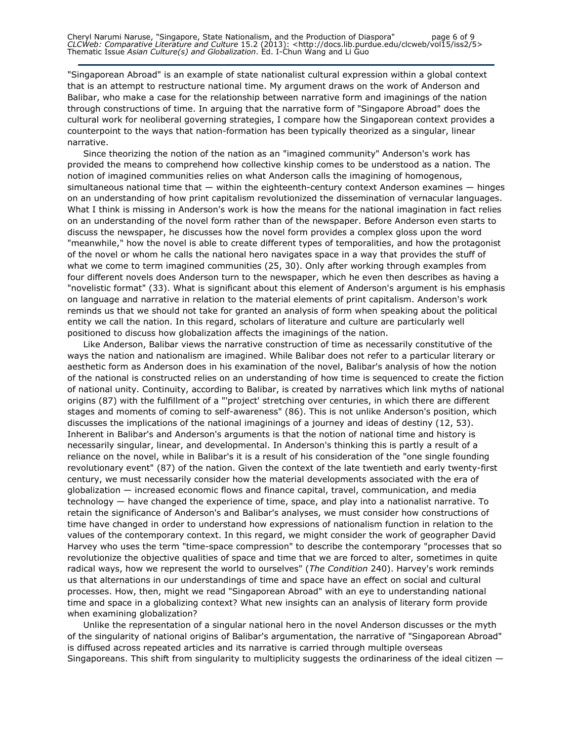"Singaporean Abroad" is an example of state nationalist cultural expression within a global context that is an attempt to restructure national time. My argument draws on the work of Anderson and Balibar, who make a case for the relationship between narrative form and imaginings of the nation through constructions of time. In arguing that the narrative form of "Singapore Abroad" does the cultural work for neoliberal governing strategies, I compare how the Singaporean context provides a counterpoint to the ways that nation-formation has been typically theorized as a singular, linear narrative.

Since theorizing the notion of the nation as an "imagined community" Anderson's work has provided the means to comprehend how collective kinship comes to be understood as a nation. The notion of imagined communities relies on what Anderson calls the imagining of homogenous, simultaneous national time that  $-$  within the eighteenth-century context Anderson examines  $-$  hinges on an understanding of how print capitalism revolutionized the dissemination of vernacular languages. What I think is missing in Anderson's work is how the means for the national imagination in fact relies on an understanding of the novel form rather than of the newspaper. Before Anderson even starts to discuss the newspaper, he discusses how the novel form provides a complex gloss upon the word "meanwhile," how the novel is able to create different types of temporalities, and how the protagonist of the novel or whom he calls the national hero navigates space in a way that provides the stuff of what we come to term imagined communities (25, 30). Only after working through examples from four different novels does Anderson turn to the newspaper, which he even then describes as having a "novelistic format" (33). What is significant about this element of Anderson's argument is his emphasis on language and narrative in relation to the material elements of print capitalism. Anderson's work reminds us that we should not take for granted an analysis of form when speaking about the political entity we call the nation. In this regard, scholars of literature and culture are particularly well positioned to discuss how globalization affects the imaginings of the nation.

Like Anderson, Balibar views the narrative construction of time as necessarily constitutive of the ways the nation and nationalism are imagined. While Balibar does not refer to a particular literary or aesthetic form as Anderson does in his examination of the novel, Balibar's analysis of how the notion of the national is constructed relies on an understanding of how time is sequenced to create the fiction of national unity. Continuity, according to Balibar, is created by narratives which link myths of national origins (87) with the fulfillment of a "'project' stretching over centuries, in which there are different stages and moments of coming to self-awareness" (86). This is not unlike Anderson's position, which discusses the implications of the national imaginings of a journey and ideas of destiny (12, 53). Inherent in Balibar's and Anderson's arguments is that the notion of national time and history is necessarily singular, linear, and developmental. In Anderson's thinking this is partly a result of a reliance on the novel, while in Balibar's it is a result of his consideration of the "one single founding revolutionary event" (87) of the nation. Given the context of the late twentieth and early twenty-first century, we must necessarily consider how the material developments associated with the era of globalization — increased economic flows and finance capital, travel, communication, and media technology — have changed the experience of time, space, and play into a nationalist narrative. To retain the significance of Anderson's and Balibar's analyses, we must consider how constructions of time have changed in order to understand how expressions of nationalism function in relation to the values of the contemporary context. In this regard, we might consider the work of geographer David Harvey who uses the term "time-space compression" to describe the contemporary "processes that so revolutionize the objective qualities of space and time that we are forced to alter, sometimes in quite radical ways, how we represent the world to ourselves" (The Condition 240). Harvey's work reminds us that alternations in our understandings of time and space have an effect on social and cultural processes. How, then, might we read "Singaporean Abroad" with an eye to understanding national time and space in a globalizing context? What new insights can an analysis of literary form provide when examining globalization?

Unlike the representation of a singular national hero in the novel Anderson discusses or the myth of the singularity of national origins of Balibar's argumentation, the narrative of "Singaporean Abroad" is diffused across repeated articles and its narrative is carried through multiple overseas Singaporeans. This shift from singularity to multiplicity suggests the ordinariness of the ideal citizen —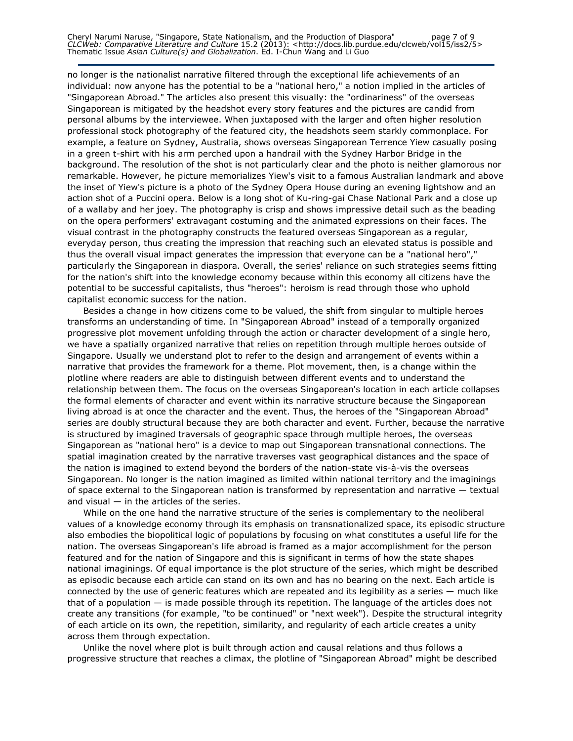Cheryl Narumi Naruse, "Singapore, State Nationalism, and the Production of Diaspora" page 7 of 9 CLCWeb: Comparative Literature and Culture 15.2 (2013): <http://docs.lib.purdue.edu/clcweb/vol15/iss2/5> Thematic Issue Asian Culture(s) and Globalization. Ed. I-Chun Wang and Li Guo

no longer is the nationalist narrative filtered through the exceptional life achievements of an individual: now anyone has the potential to be a "national hero," a notion implied in the articles of "Singaporean Abroad." The articles also present this visually: the "ordinariness" of the overseas Singaporean is mitigated by the headshot every story features and the pictures are candid from personal albums by the interviewee. When juxtaposed with the larger and often higher resolution professional stock photography of the featured city, the headshots seem starkly commonplace. For example, a feature on Sydney, Australia, shows overseas Singaporean Terrence Yiew casually posing in a green t-shirt with his arm perched upon a handrail with the Sydney Harbor Bridge in the background. The resolution of the shot is not particularly clear and the photo is neither glamorous nor remarkable. However, he picture memorializes Yiew's visit to a famous Australian landmark and above the inset of Yiew's picture is a photo of the Sydney Opera House during an evening lightshow and an action shot of a Puccini opera. Below is a long shot of Ku-ring-gai Chase National Park and a close up of a wallaby and her joey. The photography is crisp and shows impressive detail such as the beading on the opera performers' extravagant costuming and the animated expressions on their faces. The visual contrast in the photography constructs the featured overseas Singaporean as a regular, everyday person, thus creating the impression that reaching such an elevated status is possible and thus the overall visual impact generates the impression that everyone can be a "national hero"," particularly the Singaporean in diaspora. Overall, the series' reliance on such strategies seems fitting for the nation's shift into the knowledge economy because within this economy all citizens have the potential to be successful capitalists, thus "heroes": heroism is read through those who uphold capitalist economic success for the nation.

Besides a change in how citizens come to be valued, the shift from singular to multiple heroes transforms an understanding of time. In "Singaporean Abroad" instead of a temporally organized progressive plot movement unfolding through the action or character development of a single hero, we have a spatially organized narrative that relies on repetition through multiple heroes outside of Singapore. Usually we understand plot to refer to the design and arrangement of events within a narrative that provides the framework for a theme. Plot movement, then, is a change within the plotline where readers are able to distinguish between different events and to understand the relationship between them. The focus on the overseas Singaporean's location in each article collapses the formal elements of character and event within its narrative structure because the Singaporean living abroad is at once the character and the event. Thus, the heroes of the "Singaporean Abroad" series are doubly structural because they are both character and event. Further, because the narrative is structured by imagined traversals of geographic space through multiple heroes, the overseas Singaporean as "national hero" is a device to map out Singaporean transnational connections. The spatial imagination created by the narrative traverses vast geographical distances and the space of the nation is imagined to extend beyond the borders of the nation-state vis-à-vis the overseas Singaporean. No longer is the nation imagined as limited within national territory and the imaginings of space external to the Singaporean nation is transformed by representation and narrative — textual and visual  $-$  in the articles of the series.

While on the one hand the narrative structure of the series is complementary to the neoliberal values of a knowledge economy through its emphasis on transnationalized space, its episodic structure also embodies the biopolitical logic of populations by focusing on what constitutes a useful life for the nation. The overseas Singaporean's life abroad is framed as a major accomplishment for the person featured and for the nation of Singapore and this is significant in terms of how the state shapes national imaginings. Of equal importance is the plot structure of the series, which might be described as episodic because each article can stand on its own and has no bearing on the next. Each article is connected by the use of generic features which are repeated and its legibility as a series — much like that of a population — is made possible through its repetition. The language of the articles does not create any transitions (for example, "to be continued" or "next week"). Despite the structural integrity of each article on its own, the repetition, similarity, and regularity of each article creates a unity across them through expectation.

Unlike the novel where plot is built through action and causal relations and thus follows a progressive structure that reaches a climax, the plotline of "Singaporean Abroad" might be described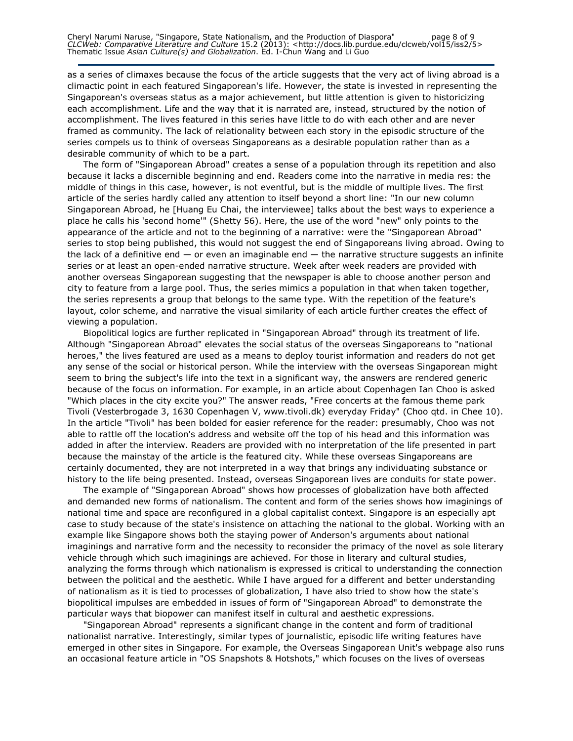as a series of climaxes because the focus of the article suggests that the very act of living abroad is a climactic point in each featured Singaporean's life. However, the state is invested in representing the Singaporean's overseas status as a major achievement, but little attention is given to historicizing each accomplishment. Life and the way that it is narrated are, instead, structured by the notion of accomplishment. The lives featured in this series have little to do with each other and are never framed as community. The lack of relationality between each story in the episodic structure of the series compels us to think of overseas Singaporeans as a desirable population rather than as a desirable community of which to be a part.

The form of "Singaporean Abroad" creates a sense of a population through its repetition and also because it lacks a discernible beginning and end. Readers come into the narrative in media res: the middle of things in this case, however, is not eventful, but is the middle of multiple lives. The first article of the series hardly called any attention to itself beyond a short line: "In our new column Singaporean Abroad, he [Huang Eu Chai, the interviewee] talks about the best ways to experience a place he calls his 'second home'" (Shetty 56). Here, the use of the word "new" only points to the appearance of the article and not to the beginning of a narrative: were the "Singaporean Abroad" series to stop being published, this would not suggest the end of Singaporeans living abroad. Owing to the lack of a definitive end  $-$  or even an imaginable end  $-$  the narrative structure suggests an infinite series or at least an open-ended narrative structure. Week after week readers are provided with another overseas Singaporean suggesting that the newspaper is able to choose another person and city to feature from a large pool. Thus, the series mimics a population in that when taken together, the series represents a group that belongs to the same type. With the repetition of the feature's layout, color scheme, and narrative the visual similarity of each article further creates the effect of viewing a population.

Biopolitical logics are further replicated in "Singaporean Abroad" through its treatment of life. Although "Singaporean Abroad" elevates the social status of the overseas Singaporeans to "national heroes," the lives featured are used as a means to deploy tourist information and readers do not get any sense of the social or historical person. While the interview with the overseas Singaporean might seem to bring the subject's life into the text in a significant way, the answers are rendered generic because of the focus on information. For example, in an article about Copenhagen Ian Choo is asked "Which places in the city excite you?" The answer reads, "Free concerts at the famous theme park Tivoli (Vesterbrogade 3, 1630 Copenhagen V, www.tivoli.dk) everyday Friday" (Choo qtd. in Chee 10). In the article "Tivoli" has been bolded for easier reference for the reader: presumably, Choo was not able to rattle off the location's address and website off the top of his head and this information was added in after the interview. Readers are provided with no interpretation of the life presented in part because the mainstay of the article is the featured city. While these overseas Singaporeans are certainly documented, they are not interpreted in a way that brings any individuating substance or history to the life being presented. Instead, overseas Singaporean lives are conduits for state power.

The example of "Singaporean Abroad" shows how processes of globalization have both affected and demanded new forms of nationalism. The content and form of the series shows how imaginings of national time and space are reconfigured in a global capitalist context. Singapore is an especially apt case to study because of the state's insistence on attaching the national to the global. Working with an example like Singapore shows both the staying power of Anderson's arguments about national imaginings and narrative form and the necessity to reconsider the primacy of the novel as sole literary vehicle through which such imaginings are achieved. For those in literary and cultural studies, analyzing the forms through which nationalism is expressed is critical to understanding the connection between the political and the aesthetic. While I have argued for a different and better understanding of nationalism as it is tied to processes of globalization, I have also tried to show how the state's biopolitical impulses are embedded in issues of form of "Singaporean Abroad" to demonstrate the particular ways that biopower can manifest itself in cultural and aesthetic expressions.

"Singaporean Abroad" represents a significant change in the content and form of traditional nationalist narrative. Interestingly, similar types of journalistic, episodic life writing features have emerged in other sites in Singapore. For example, the Overseas Singaporean Unit's webpage also runs an occasional feature article in "OS Snapshots & Hotshots," which focuses on the lives of overseas